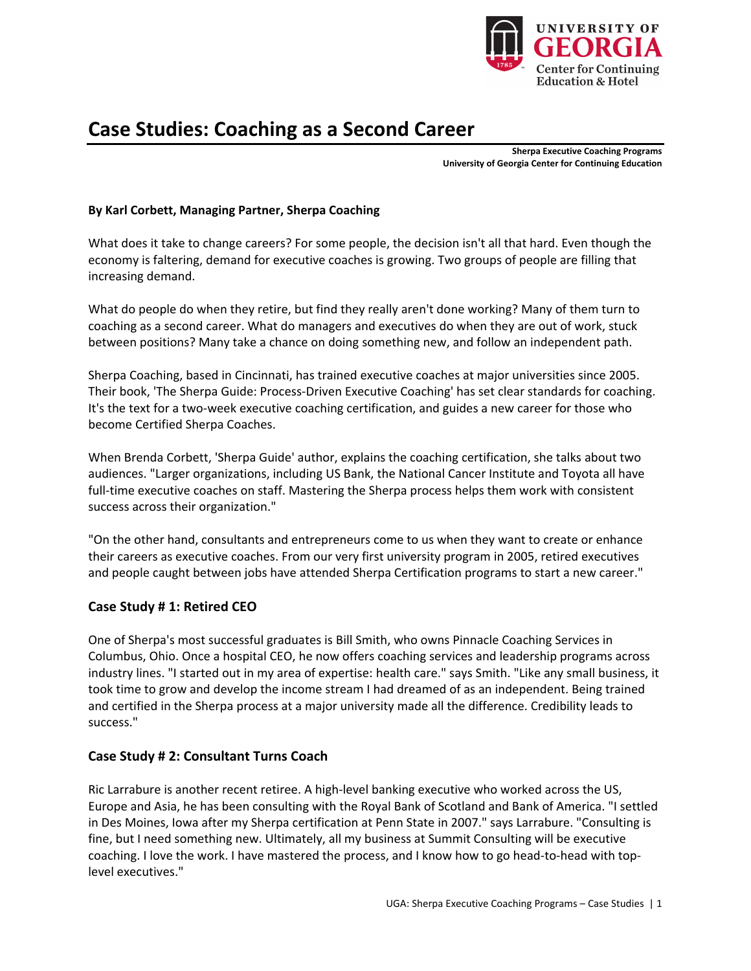

# **Case Studies: Coaching as a Second Career**

**Sherpa Executive Coaching Programs University of Georgia Center for Continuing Education** 

## **By Karl Corbett, Managing Partner, Sherpa Coaching**

What does it take to change careers? For some people, the decision isn't all that hard. Even though the economy is faltering, demand for executive coaches is growing. Two groups of people are filling that increasing demand.

What do people do when they retire, but find they really aren't done working? Many of them turn to coaching as a second career. What do managers and executives do when they are out of work, stuck between positions? Many take a chance on doing something new, and follow an independent path.

Sherpa Coaching, based in Cincinnati, has trained executive coaches at major universities since 2005. Their book, 'The Sherpa Guide: Process-Driven Executive Coaching' has set clear standards for coaching. It's the text for a two-week executive coaching certification, and guides a new career for those who become Certified Sherpa Coaches.

When Brenda Corbett, 'Sherpa Guide' author, explains the coaching certification, she talks about two audiences. "Larger organizations, including US Bank, the National Cancer Institute and Toyota all have full-time executive coaches on staff. Mastering the Sherpa process helps them work with consistent success across their organization."

"On the other hand, consultants and entrepreneurs come to us when they want to create or enhance their careers as executive coaches. From our very first university program in 2005, retired executives and people caught between jobs have attended Sherpa Certification programs to start a new career."

#### **Case Study # 1: Retired CEO**

One of Sherpa's most successful graduates is Bill Smith, who owns Pinnacle Coaching Services in Columbus, Ohio. Once a hospital CEO, he now offers coaching services and leadership programs across industry lines. "I started out in my area of expertise: health care." says Smith. "Like any small business, it took time to grow and develop the income stream I had dreamed of as an independent. Being trained and certified in the Sherpa process at a major university made all the difference. Credibility leads to success."

## **Case Study # 2: Consultant Turns Coach**

Ric Larrabure is another recent retiree. A high-level banking executive who worked across the US, Europe and Asia, he has been consulting with the Royal Bank of Scotland and Bank of America. "I settled in Des Moines, Iowa after my Sherpa certification at Penn State in 2007." says Larrabure. "Consulting is fine, but I need something new. Ultimately, all my business at Summit Consulting will be executive coaching. I love the work. I have mastered the process, and I know how to go head-to-head with toplevel executives."